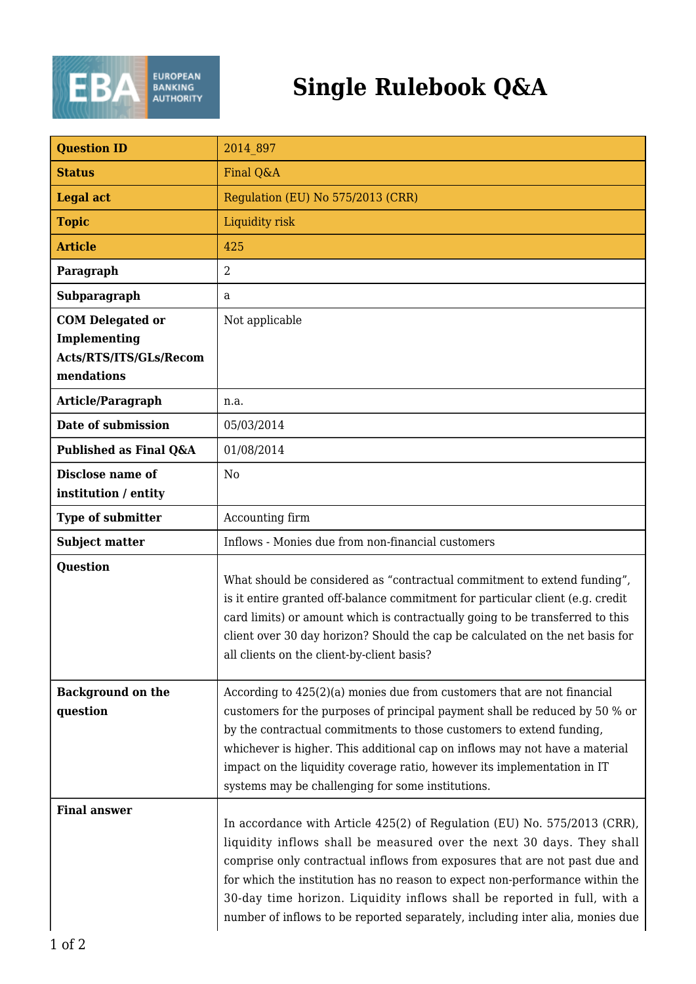

| <b>Question ID</b>                                                              | 2014 897                                                                                                                                                                                                                                                                                                                                                                                                                                                                     |
|---------------------------------------------------------------------------------|------------------------------------------------------------------------------------------------------------------------------------------------------------------------------------------------------------------------------------------------------------------------------------------------------------------------------------------------------------------------------------------------------------------------------------------------------------------------------|
| <b>Status</b>                                                                   | Final Q&A                                                                                                                                                                                                                                                                                                                                                                                                                                                                    |
| <b>Legal act</b>                                                                | Regulation (EU) No 575/2013 (CRR)                                                                                                                                                                                                                                                                                                                                                                                                                                            |
| <b>Topic</b>                                                                    | Liquidity risk                                                                                                                                                                                                                                                                                                                                                                                                                                                               |
| <b>Article</b>                                                                  | 425                                                                                                                                                                                                                                                                                                                                                                                                                                                                          |
| Paragraph                                                                       | $\overline{2}$                                                                                                                                                                                                                                                                                                                                                                                                                                                               |
| Subparagraph                                                                    | a                                                                                                                                                                                                                                                                                                                                                                                                                                                                            |
| <b>COM Delegated or</b><br>Implementing<br>Acts/RTS/ITS/GLs/Recom<br>mendations | Not applicable                                                                                                                                                                                                                                                                                                                                                                                                                                                               |
| Article/Paragraph                                                               | n.a.                                                                                                                                                                                                                                                                                                                                                                                                                                                                         |
| Date of submission                                                              | 05/03/2014                                                                                                                                                                                                                                                                                                                                                                                                                                                                   |
| Published as Final Q&A                                                          | 01/08/2014                                                                                                                                                                                                                                                                                                                                                                                                                                                                   |
| Disclose name of<br>institution / entity                                        | N <sub>0</sub>                                                                                                                                                                                                                                                                                                                                                                                                                                                               |
| <b>Type of submitter</b>                                                        | Accounting firm                                                                                                                                                                                                                                                                                                                                                                                                                                                              |
| <b>Subject matter</b>                                                           | Inflows - Monies due from non-financial customers                                                                                                                                                                                                                                                                                                                                                                                                                            |
| Question                                                                        | What should be considered as "contractual commitment to extend funding",<br>is it entire granted off-balance commitment for particular client (e.g. credit<br>card limits) or amount which is contractually going to be transferred to this<br>client over 30 day horizon? Should the cap be calculated on the net basis for<br>all clients on the client-by-client basis?                                                                                                   |
| <b>Background on the</b><br>question                                            | According to 425(2)(a) monies due from customers that are not financial<br>customers for the purposes of principal payment shall be reduced by 50 % or<br>by the contractual commitments to those customers to extend funding,<br>whichever is higher. This additional cap on inflows may not have a material<br>impact on the liquidity coverage ratio, however its implementation in IT<br>systems may be challenging for some institutions.                               |
| <b>Final answer</b>                                                             | In accordance with Article 425(2) of Regulation (EU) No. 575/2013 (CRR),<br>liquidity inflows shall be measured over the next 30 days. They shall<br>comprise only contractual inflows from exposures that are not past due and<br>for which the institution has no reason to expect non-performance within the<br>30-day time horizon. Liquidity inflows shall be reported in full, with a<br>number of inflows to be reported separately, including inter alia, monies due |